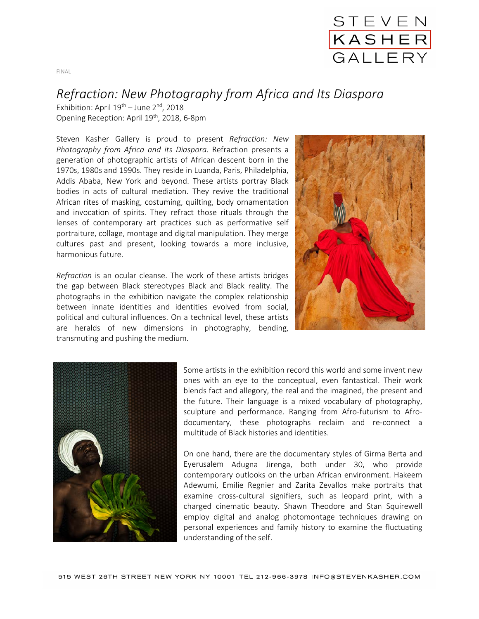

## *Refraction: New Photography from Africa and Its Diaspora*

Exhibition: April  $19^{th}$  – June  $2^{nd}$ , 2018 Opening Reception: April 19<sup>th</sup>, 2018, 6-8pm

Steven Kasher Gallery is proud to present *Refraction: New Photography from Africa and its Diaspora*. Refraction presents a generation of photographic artists of African descent born in the 1970s, 1980s and 1990s. They reside in Luanda, Paris, Philadelphia, Addis Ababa, New York and beyond. These artists portray Black bodies in acts of cultural mediation. They revive the traditional African rites of masking, costuming, quilting, body ornamentation and invocation of spirits. They refract those rituals through the lenses of contemporary art practices such as performative self portraiture, collage, montage and digital manipulation. They merge cultures past and present, looking towards a more inclusive, harmonious future.

*Refraction* is an ocular cleanse. The work of these artists bridges the gap between Black stereotypes Black and Black reality. The photographs in the exhibition navigate the complex relationship between innate identities and identities evolved from social, political and cultural influences. On a technical level, these artists are heralds of new dimensions in photography, bending, transmuting and pushing the medium.





Some artists in the exhibition record this world and some invent new ones with an eye to the conceptual, even fantastical. Their work blends fact and allegory, the real and the imagined, the present and the future. Their language is a mixed vocabulary of photography, sculpture and performance. Ranging from Afro-futurism to Afrodocumentary, these photographs reclaim and re-connect a multitude of Black histories and identities.

On one hand, there are the documentary styles of Girma Berta and Eyerusalem Adugna Jirenga, both under 30, who provide contemporary outlooks on the urban African environment. Hakeem Adewumi, Emilie Regnier and Zarita Zevallos make portraits that examine cross-cultural signifiers, such as leopard print, with a charged cinematic beauty. Shawn Theodore and Stan Squirewell employ digital and analog photomontage techniques drawing on personal experiences and family history to examine the fluctuating understanding of the self.

FINAL